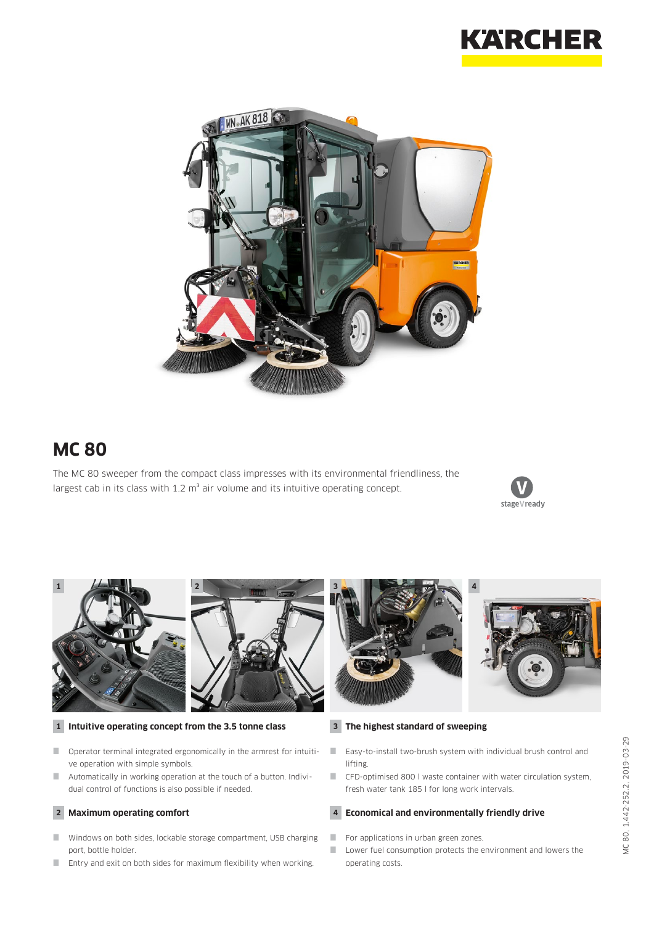



# **MC 80**

The MC 80 sweeper from the compact class impresses with its environmental friendliness, the largest cab in its class with  $1.2 \text{ m}^3$  air volume and its intuitive operating concept.





### **1 Intuitive operating concept from the 3.5 tonne class**

- Operator terminal integrated ergonomically in the armrest for intuitive operation with simple symbols.
- Automatically in working operation at the touch of a button. Individual control of functions is also possible if needed.

## **2 Maximum operating comfort**

- Windows on both sides, lockable storage compartment, USB charging port, bottle holder.
- Entry and exit on both sides for maximum flexibility when working.

### **3 The highest standard of sweeping**

- Easy-to-install two-brush system with individual brush control and lifting.
- CFD-optimised 800 l waste container with water circulation system, fresh water tank 185 l for long work intervals.

#### **4 Economical and environmentally friendly drive**

- For applications in urban green zones.
- **Lower fuel consumption protects the environment and lowers the** operating costs.